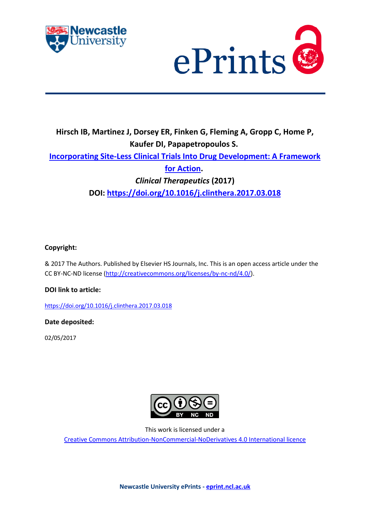



# **Hirsch IB, Martinez J, Dorsey ER, Finken G, Fleming A, Gropp C, Home P, Kaufer DI, Papapetropoulos S. [Incorporating Site-Less Clinical Trials Into Drug Development: A Framework](javascript:ViewPublication(237795);)  [for Action.](javascript:ViewPublication(237795);)** *Clinical Therapeutics* **(2017) DOI:<https://doi.org/10.1016/j.clinthera.2017.03.018>**

## **Copyright:**

& 2017 The Authors. Published by Elsevier HS Journals, Inc. This is an open access article under the CC BY-NC-ND license [\(http://creativecommons.org/licenses/by-nc-nd/4.0/\)](http://creativecommons.org/licenses/by-nc-nd/4.0/).

## **DOI link to article:**

<https://doi.org/10.1016/j.clinthera.2017.03.018>

## **Date deposited:**

02/05/2017



This work is licensed under a

[Creative Commons Attribution-NonCommercial-NoDerivatives 4.0 International licence](https://creativecommons.org/licenses/by-nc-nd/4.0/)

**Newcastle University ePrints - [eprint.ncl.ac.uk](http://eprint.ncl.ac.uk/)**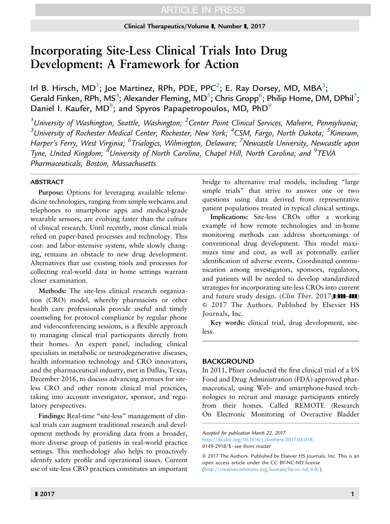# Incorporating Site-Less Clinical Trials Into Drug Development: A Framework for Action

Irl B. Hirsch, MD $^1$ ; Joe Martinez, RPh, PDE, PPC $^2$ ; E. Ray Dorsey, MD, MBA $^3$ ; Gerald Finken, RPh, MS $^4$ ; Alexander Fleming, MD $^5$ ; Chris Gropp $^6$ ; Philip Home, DM, DPhil $^7$ ; Daniel I. Kaufer, MD<sup>8</sup>; and Spyros Papapetropoulos, MD, PhD<sup>9</sup>

<sup>1</sup>University of Washington, Seattle, Washington; <sup>2</sup>Center Point Clinical Services, Malvern, Pennsylvania;  $^3$ University of Rochester Medical Center, Rochester, New York; <sup>4</sup>CSM, Fargo, North Dakota; <sup>5</sup>Kinexum, Harper's Ferry, West Virginia; <sup>6</sup>Trialogics, Wilmington, Delaware; <sup>7</sup>Newcastle University, Newcastle upon Tyne, United Kingdom; <sup>8</sup>University of North Carolina, Chapel Hill, North Carolina; and <sup>9</sup>TEVA Pharmaceuticals, Boston, Massachusetts

#### ABSTRACT

Purpose: Options for leveraging available telemedicine technologies, ranging from simple webcams and telephones to smartphone apps and medical-grade wearable sensors, are evolving faster than the culture of clinical research. Until recently, most clinical trials relied on paper-based processes and technology. This cost- and labor-intensive system, while slowly changing, remains an obstacle to new drug development. Alternatives that use existing tools and processes for collecting real-world data in home settings warrant closer examination.

Methods: The site-less clinical research organization (CRO) model, whereby pharmacists or other health care professionals provide useful and timely counseling for protocol compliance by regular phone and videoconferencing sessions, is a flexible approach to managing clinical trial participants directly from their homes. An expert panel, including clinical specialists in metabolic or neurodegenerative diseases, health information technology and CRO innovators, and the pharmaceutical industry, met in Dallas, Texas, December 2016, to discuss advancing avenues for siteless CRO and other remote clinical trial practices, taking into account investigator, sponsor, and regulatory perspectives.

Findings: Real-time "site-less" management of clinical trials can augment traditional research and development methods by providing data from a broader, more diverse group of patients in real-world practice settings. This methodology also helps to proactively identify safety profile and operational issues. Current use of site-less CRO practices constitutes an important bridge to alternative trial models, including "large simple trials" that strive to answer one or two questions using data derived from representative patient populations treated in typical clinical settings.

Implications: Site-less CROs offer a working example of how remote technologies and in-home monitoring methods can address shortcomings of conventional drug development. This model maximizes time and cost, as well as potentially earlier identification of adverse events. Coordinated communication among investigators, sponsors, regulators, and patients will be needed to develop standardized strategies for incorporating site-less CROs into current and future study design. (Clin Ther. 2017; $\blacksquare$ ]] & 2017 The Authors. Published by Elsevier HS Journals, Inc.

Key words: clinical trial, drug development, siteless.

#### BACKGROUND

In 2011, Pfizer conducted the first clinical trial of a US Food and Drug Administration (FDA)-approved pharmaceutical, using Web- and smartphone-based technologies to recruit and manage participants entirely from their homes. Called REMOTE (Research On Electronic Monitoring of Overactive Bladder

Accepted for publication March 22, 2017.

<http://dx.doi.org/10.1016/j.clinthera.2017.03.018> 0149-2918/\$ - see front matter

 $©$  2017 The Authors. Published by Elsevier HS Journals, Inc. This is an open access article under the CC BY-NC-ND license (http://creativecommons.org/licenses/by-nc-nd/4.0/).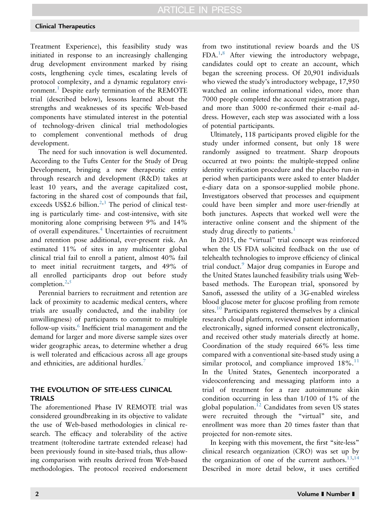### Clinical Therapeutics

Treatment Experience), this feasibility study was initiated in response to an increasingly challenging drug development environment marked by rising costs, lengthening cycle times, escalating levels of protocol complexity, and a dynamic regulatory envi-ronment.<sup>[1](#page-10-0)</sup> Despite early termination of the REMOTE trial (described below), lessons learned about the strengths and weaknesses of its specific Web-based components have stimulated interest in the potential of technology-driven clinical trial methodologies to complement conventional methods of drug development.

The need for such innovation is well documented. According to the Tufts Center for the Study of Drug Development, bringing a new therapeutic entity through research and development (R&D) takes at least 10 years, and the average capitalized cost, factoring in the shared cost of compounds that fail, exceeds US\$2.6 billion. $2,3$  The period of clinical testing is particularly time- and cost-intensive, with site monitoring alone comprising between 9% and 14% of overall expenditures.[4](#page-11-0) Uncertainties of recruitment and retention pose additional, ever-present risk. An estimated 11% of sites in any multicenter global clinical trial fail to enroll a patient, almost 40% fail to meet initial recruitment targets, and 49% of all enrolled participants drop out before study completion. $2,5$  $2,5$ 

Perennial barriers to recruitment and retention are lack of proximity to academic medical centers, where trials are usually conducted, and the inability (or unwillingness) of participants to commit to multiple follow-up visits.<sup>[6](#page-11-0)</sup> Inefficient trial management and the demand for larger and more diverse sample sizes over wider geographic areas, to determine whether a drug is well tolerated and efficacious across all age groups and ethnicities, are additional hurdles.<sup>[7](#page-11-0)</sup>

### THE EVOLUTION OF SITE-LESS CLINICAL TRIALS

The aforementioned Phase IV REMOTE trial was considered groundbreaking in its objective to validate the use of Web-based methodologies in clinical research. The efficacy and tolerability of the active treatment (tolterodine tartrate extended release) had been previously found in site-based trials, thus allowing comparison with results derived from Web-based methodologies. The protocol received endorsement

from two institutional review boards and the US  $FDA.<sup>1,8</sup>$  $FDA.<sup>1,8</sup>$  $FDA.<sup>1,8</sup>$  $FDA.<sup>1,8</sup>$  After viewing the introductory webpage, candidates could opt to create an account, which began the screening process. Of 20,901 individuals who viewed the study's introductory webpage, 17,950 watched an online informational video, more than 7000 people completed the account registration page, and more than 5000 re-confirmed their e-mail address. However, each step was associated with a loss of potential participants.

Ultimately, 118 participants proved eligible for the study under informed consent, but only 18 were randomly assigned to treatment. Sharp dropouts occurred at two points: the multiple-stepped online identity verification procedure and the placebo run-in period when participants were asked to enter bladder e-diary data on a sponsor-supplied mobile phone. Investigators observed that processes and equipment could have been simpler and more user-friendly at both junctures. Aspects that worked well were the interactive online consent and the shipment of the study drug directly to patients.<sup>[1](#page-10-0)</sup>

In 2015, the "virtual" trial concept was reinforced when the US FDA solicited feedback on the use of telehealth technologies to improve efficiency of clinical trial conduct.<sup>[9](#page-11-0)</sup> Major drug companies in Europe and the United States launched feasibility trials using Webbased methods. The European trial, sponsored by Sanofi, assessed the utility of a 3G-enabled wireless blood glucose meter for glucose profiling from remote sites.<sup>[10](#page-11-0)</sup> Participants registered themselves by a clinical research cloud platform, reviewed patient information electronically, signed informed consent electronically, and received other study materials directly at home. Coordination of the study required 66% less time compared with a conventional site-based study using a similar protocol, and compliance improved  $18\%$ .<sup>[11](#page-11-0)</sup> In the United States, Genentech incorporated a videoconferencing and messaging platform into a trial of treatment for a rare autoimmune skin condition occurring in less than 1/100 of 1% of the global population.<sup>12</sup> Candidates from seven US states were recruited through the "virtual" site, and enrollment was more than 20 times faster than that projected for non-remote sites.

In keeping with this movement, the first "site-less" clinical research organization (CRO) was set up by the organization of one of the current authors.<sup>13,14</sup> Described in more detail below, it uses certified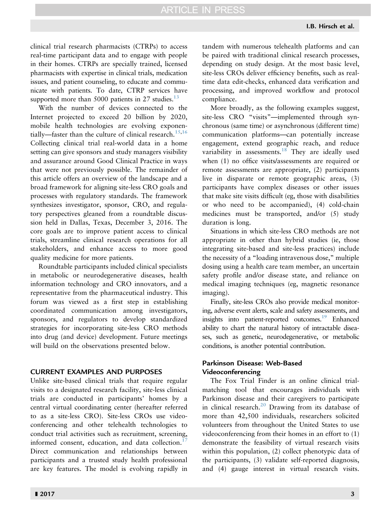clinical trial research pharmacists (CTRPs) to access real-time participant data and to engage with people in their homes. CTRPs are specially trained, licensed pharmacists with expertise in clinical trials, medication issues, and patient counseling, to educate and communicate with patients. To date, CTRP services have supported more than 5000 patients in  $27$  studies.<sup>13</sup>

With the number of devices connected to the Internet projected to exceed 20 billion by 2020, mobile health technologies are evolving exponen-tially—faster than the culture of clinical research.<sup>[15,16](#page-11-0)</sup> Collecting clinical trial real-world data in a home setting can give sponsors and study managers visibility and assurance around Good Clinical Practice in ways that were not previously possible. The remainder of this article offers an overview of the landscape and a broad framework for aligning site-less CRO goals and processes with regulatory standards. The framework synthesizes investigator, sponsor, CRO, and regulatory perspectives gleaned from a roundtable discussion held in Dallas, Texas, December 3, 2016. The core goals are to improve patient access to clinical trials, streamline clinical research operations for all stakeholders, and enhance access to more good quality medicine for more patients.

Roundtable participants included clinical specialists in metabolic or neurodegenerative diseases, health information technology and CRO innovators, and a representative from the pharmaceutical industry. This forum was viewed as a first step in establishing coordinated communication among investigators, sponsors, and regulators to develop standardized strategies for incorporating site-less CRO methods into drug (and device) development. Future meetings will build on the observations presented below.

### CURRENT EXAMPLES AND PURPOSES

Unlike site-based clinical trials that require regular visits to a designated research facility, site-less clinical trials are conducted in participants' homes by a central virtual coordinating center (hereafter referred to as a site-less CRO). Site-less CROs use videoconferencing and other telehealth technologies to conduct trial activities such as recruitment, screening, informed consent, education, and data collection.<sup>[17](#page-11-0)</sup> Direct communication and relationships between participants and a trusted study health professional are key features. The model is evolving rapidly in

tandem with numerous telehealth platforms and can be paired with traditional clinical research processes, depending on study design. At the most basic level, site-less CROs deliver efficiency benefits, such as realtime data edit-checks, enhanced data verification and processing, and improved workflow and protocol compliance.

More broadly, as the following examples suggest, site-less CRO "visits"—implemented through synchronous (same time) or asynchronous (different time) communication platforms—can potentially increase engagement, extend geographic reach, and reduce variability in assessments.<sup>[18](#page-11-0)</sup> They are ideally used when (1) no office visits/assessments are required or remote assessments are appropriate, (2) participants live in disparate or remote geographic areas, (3) participants have complex diseases or other issues that make site visits difficult (eg, those with disabilities or who need to be accompanied), (4) cold-chain medicines must be transported, and/or (5) study duration is long.

Situations in which site-less CRO methods are not appropriate in other than hybrid studies (ie, those integrating site-based and site-less practices) include the necessity of a "loading intravenous dose," multiple dosing using a health care team member, an uncertain safety profile and/or disease state, and reliance on medical imaging techniques (eg, magnetic resonance imaging).

Finally, site-less CROs also provide medical monitoring, adverse event alerts, scale and safety assessments, and insights into patient-reported outcomes.<sup>19</sup> Enhanced ability to chart the natural history of intractable diseases, such as genetic, neurodegenerative, or metabolic conditions, is another potential contribution.

### Parkinson Disease: Web-Based Videoconferencing

The Fox Trial Finder is an online clinical trialmatching tool that encourages individuals with Parkinson disease and their caregivers to participate in clinical research.<sup>[20](#page-11-0)</sup> Drawing from its database of more than 42,500 individuals, researchers solicited volunteers from throughout the United States to use videoconferencing from their homes in an effort to (1) demonstrate the feasibility of virtual research visits within this population, (2) collect phenotypic data of the participants, (3) validate self-reported diagnosis, and (4) gauge interest in virtual research visits.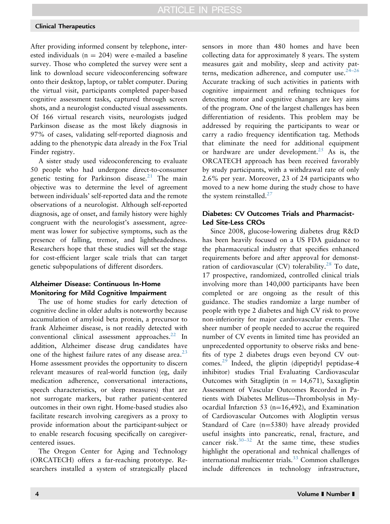#### Clinical Therapeutics

After providing informed consent by telephone, interested individuals ( $n = 204$ ) were e-mailed a baseline survey. Those who completed the survey were sent a link to download secure videoconferencing software onto their desktop, laptop, or tablet computer. During the virtual visit, participants completed paper-based cognitive assessment tasks, captured through screen shots, and a neurologist conducted visual assessments. Of 166 virtual research visits, neurologists judged Parkinson disease as the most likely diagnosis in 97% of cases, validating self-reported diagnosis and adding to the phenotypic data already in the Fox Trial Finder registry.

A sister study used videoconferencing to evaluate 50 people who had undergone direct-to-consumer genetic testing for Parkinson disease.<sup>[21](#page-11-0)</sup> The main objective was to determine the level of agreement between individuals' self-reported data and the remote observations of a neurologist. Although self-reported diagnosis, age of onset, and family history were highly congruent with the neurologist's assessment, agreement was lower for subjective symptoms, such as the presence of falling, tremor, and lightheadedness. Researchers hope that these studies will set the stage for cost-efficient larger scale trials that can target genetic subpopulations of different disorders.

### Alzheimer Disease: Continuous In-Home Monitoring for Mild Cognitive Impairment

The use of home studies for early detection of cognitive decline in older adults is noteworthy because accumulation of amyloid beta protein, a precursor to frank Alzheimer disease, is not readily detected with conventional clinical assessment approaches.<sup>[22](#page-11-0)</sup> In addition, Alzheimer disease drug candidates have one of the highest failure rates of any disease area.<sup>[23](#page-11-0)</sup> Home assessment provides the opportunity to discern relevant measures of real-world function (eg, daily medication adherence, conversational interactions, speech characteristics, or sleep measures) that are not surrogate markers, but rather patient-centered outcomes in their own right. Home-based studies also facilitate research involving caregivers as a proxy to provide information about the participant-subject or to enable research focusing specifically on caregivercentered issues.

The Oregon Center for Aging and Technology (ORCATECH) offers a far-reaching prototype. Researchers installed a system of strategically placed

sensors in more than 480 homes and have been collecting data for approximately 8 years. The system measures gait and mobility, sleep and activity patterns, medication adherence, and computer use. $24-26$  $24-26$  $24-26$ Accurate tracking of such activities in patients with cognitive impairment and refining techniques for detecting motor and cognitive changes are key aims of the program. One of the largest challenges has been differentiation of residents. This problem may be addressed by requiring the participants to wear or carry a radio frequency identification tag. Methods that eliminate the need for additional equipment or hardware are under development.<sup>[25](#page-11-0)</sup> As is, the ORCATECH approach has been received favorably by study participants, with a withdrawal rate of only 2.6% per year. Moreover, 23 of 24 participants who moved to a new home during the study chose to have the system reinstalled. $27$ 

### Diabetes: CV Outcomes Trials and Pharmacist-Led Site-Less CROs

Since 2008, glucose-lowering diabetes drug R&D has been heavily focused on a US FDA guidance to the pharmaceutical industry that specifies enhanced requirements before and after approval for demonst-ration of cardiovascular (CV) tolerability.<sup>[28](#page-11-0)</sup> To date, 17 prospective, randomized, controlled clinical trials involving more than 140,000 participants have been completed or are ongoing as the result of this guidance. The studies randomize a large number of people with type 2 diabetes and high CV risk to prove non-inferiority for major cardiovascular events. The sheer number of people needed to accrue the required number of CV events in limited time has provided an unprecedented opportunity to observe risks and benefits of type 2 diabetes drugs even beyond CV out- $comes.<sup>29</sup> Indeed, the gliptin (dipeptidy) peptidase-4$  $comes.<sup>29</sup> Indeed, the gliptin (dipeptidy) peptidase-4$  $comes.<sup>29</sup> Indeed, the gliptin (dipeptidy) peptidase-4$ inhibitor) studies Trial Evaluating Cardiovascular Outcomes with Sitagliptin ( $n = 14,671$ ), Saxagliptin Assessment of Vascular Outcomes Recorded in Patients with Diabetes Mellitus—Thrombolysis in Myocardial Infarction 53 ( $n=16,492$ ), and Examination of Cardiovascular Outcomes with Alogliptin versus Standard of Care  $(n=5380)$  have already provided useful insights into pancreatic, renal, fracture, and cancer risk. $30-32$  $30-32$  $30-32$  At the same time, these studies highlight the operational and technical challenges of international multicenter trials. $33$  Common challenges include differences in technology infrastructure,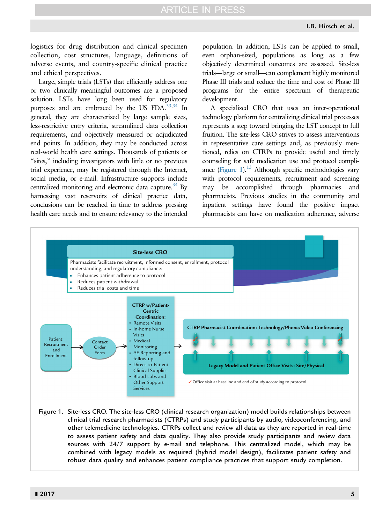logistics for drug distribution and clinical specimen collection, cost structures, language, definitions of adverse events, and country-specific clinical practice and ethical perspectives.

Large, simple trials (LSTs) that efficiently address one or two clinically meaningful outcomes are a proposed solution. LSTs have long been used for regulatory purposes and are embraced by the US FDA.<sup>33,34</sup> In general, they are characterized by large sample sizes, less-restrictive entry criteria, streamlined data collection requirements, and objectively measured or adjudicated end points. In addition, they may be conducted across real-world health care settings. Thousands of patients or "sites," including investigators with little or no previous trial experience, may be registered through the Internet, social media, or e-mail. Infrastructure supports include centralized monitoring and electronic data capture.<sup>34</sup> By harnessing vast reservoirs of clinical practice data, conclusions can be reached in time to address pressing health care needs and to ensure relevancy to the intended

population. In addition, LSTs can be applied to small, even orphan-sized, populations as long as a few objectively determined outcomes are assessed. Site-less trials—large or small—can complement highly monitored Phase III trials and reduce the time and cost of Phase III programs for the entire spectrum of therapeutic development.

A specialized CRO that uses an inter-operational technology platform for centralizing clinical trial processes represents a step toward bringing the LST concept to full fruition. The site-less CRO strives to assess interventions in representative care settings and, as previously mentioned, relies on CTRPs to provide useful and timely counseling for safe medication use and protocol compliance (Figure 1).<sup>13</sup> Although specific methodologies vary with protocol requirements, recruitment and screening may be accomplished through pharmacies and pharmacists. Previous studies in the community and inpatient settings have found the positive impact pharmacists can have on medication adherence, adverse



Figure 1. Site-less CRO. The site-less CRO (clinical research organization) model builds relationships between clinical trial research pharmacists (CTRPs) and study participants by audio, videoconferencing, and other telemedicine technologies. CTRPs collect and review all data as they are reported in real-time to assess patient safety and data quality. They also provide study participants and review data sources with 24/7 support by e-mail and telephone. This centralized model, which may be combined with legacy models as required (hybrid model design), facilitates patient safety and robust data quality and enhances patient compliance practices that support study completion.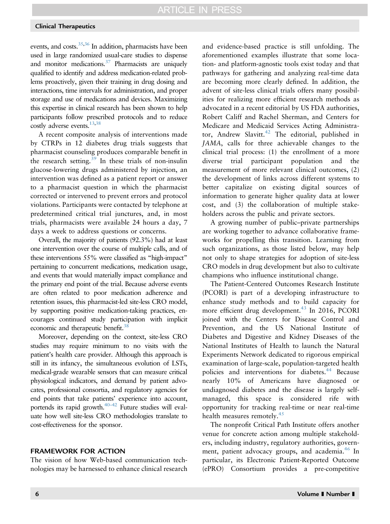#### Clinical Therapeutics

events, and costs.<sup>35,36</sup> In addition, pharmacists have been used in large randomized usual-care studies to dispense and monitor medications. $37$  Pharmacists are uniquely qualified to identify and address medication-related problems proactively, given their training in drug dosing and interactions, time intervals for administration, and proper storage and use of medications and devices. Maximizing this expertise in clinical research has been shown to help participants follow prescribed protocols and to reduce costly adverse events[.13](#page-11-0)[,38](#page-12-0)

A recent composite analysis of interventions made by CTRPs in 12 diabetes drug trials suggests that pharmacist counseling produces comparable benefit in the research setting. $39$  In these trials of non-insulin glucose-lowering drugs administered by injection, an intervention was defined as a patient report or answer to a pharmacist question in which the pharmacist corrected or intervened to prevent errors and protocol violations. Participants were contacted by telephone at predetermined critical trial junctures, and, in most trials, pharmacists were available 24 hours a day, 7 days a week to address questions or concerns.

Overall, the majority of patients (92.3%) had at least one intervention over the course of multiple calls, and of these interventions 55% were classified as "high-impact" pertaining to concurrent medications, medication usage, and events that would materially impact compliance and the primary end point of the trial. Because adverse events are often related to poor medication adherence and retention issues, this pharmacist-led site-less CRO model, by supporting positive medication-taking practices, encourages continued study participation with implicit economic and therapeutic benefit.<sup>[38](#page-12-0)</sup>

Moreover, depending on the context, site-less CRO studies may require minimum to no visits with the patient's health care provider. Although this approach is still in its infancy, the simultaneous evolution of LSTs, medical-grade wearable sensors that can measure critical physiological indicators, and demand by patient advocates, professional consortia, and regulatory agencies for end points that take patients' experience into account, portends its rapid growth. $40-42$  $40-42$  Future studies will evaluate how well site-less CRO methodologies translate to cost-effectiveness for the sponsor.

### FRAMEWORK FOR ACTION

The vision of how Web-based communication technologies may be harnessed to enhance clinical research

and evidence-based practice is still unfolding. The aforementioned examples illustrate that some location- and platform-agnostic tools exist today and that pathways for gathering and analyzing real-time data are becoming more clearly defined. In addition, the advent of site-less clinical trials offers many possibilities for realizing more efficient research methods as advocated in a recent editorial by US FDA authorities, Robert Califf and Rachel Sherman, and Centers for Medicare and Medicaid Services Acting Administra-tor, Andrew Slavitt.<sup>[42](#page-12-0)</sup> The editorial, published in JAMA, calls for three achievable changes to the clinical trial process: (1) the enrollment of a more diverse trial participant population and the measurement of more relevant clinical outcomes, (2) the development of links across different systems to better capitalize on existing digital sources of information to generate higher quality data at lower cost, and (3) the collaboration of multiple stakeholders across the public and private sectors.

A growing number of public–private partnerships are working together to advance collaborative frameworks for propelling this transition. Learning from such organizations, as those listed below, may help not only to shape strategies for adoption of site-less CRO models in drug development but also to cultivate champions who influence institutional change.

The Patient-Centered Outcomes Research Institute (PCORI) is part of a developing infrastructure to enhance study methods and to build capacity for more efficient drug development.<sup>[43](#page-12-0)</sup> In 2016, PCORI joined with the Centers for Disease Control and Prevention, and the US National Institute of Diabetes and Digestive and Kidney Diseases of the National Institutes of Health to launch the Natural Experiments Network dedicated to rigorous empirical examination of large-scale, population-targeted health policies and interventions for diabetes.<sup>[44](#page-12-0)</sup> Because nearly 10% of Americans have diagnosed or undiagnosed diabetes and the disease is largely selfmanaged, this space is considered rife with opportunity for tracking real-time or near real-time health measures remotely.<sup>[45](#page-12-0)</sup>

The nonprofit Critical Path Institute offers another venue for concrete action among multiple stakeholders, including industry, regulatory authorities, govern-ment, patient advocacy groups, and academia.<sup>[46](#page-12-0)</sup> In particular, its Electronic Patient-Reported Outcome (ePRO) Consortium provides a pre-competitive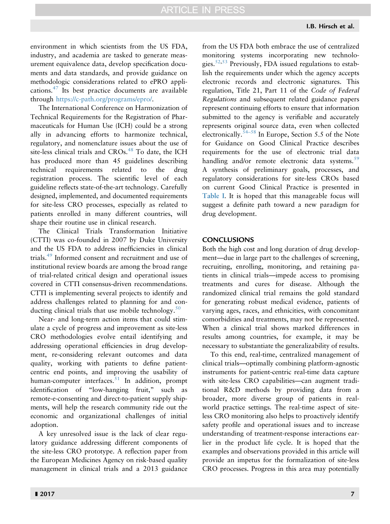environment in which scientists from the US FDA, industry, and academia are tasked to generate measurement equivalence data, develop specification documents and data standards, and provide guidance on methodologic considerations related to ePRO applications.[47](#page-12-0) Its best practice documents are available through [https://c-path.org/programs/epro/.](https://c-path.org/programs/epro/)

The International Conference on Harmonization of Technical Requirements for the Registration of Pharmaceuticals for Human Use (ICH) could be a strong ally in advancing efforts to harmonize technical, regulatory, and nomenclature issues about the use of site-less clinical trials and  $CROs$ .<sup>[48](#page-12-0)</sup> To date, the ICH has produced more than 45 guidelines describing technical requirements related to the drug registration process. The scientific level of each guideline reflects state-of-the-art technology. Carefully designed, implemented, and documented requirements for site-less CRO processes, especially as related to patients enrolled in many different countries, will shape their routine use in clinical research.

The Clinical Trials Transformation Initiative (CTTI) was co-founded in 2007 by Duke University and the US FDA to address inefficiencies in clinical trials.[49](#page-12-0) Informed consent and recruitment and use of institutional review boards are among the broad range of trial-related critical design and operational issues covered in CTTI consensus-driven recommendations. CTTI is implementing several projects to identify and address challenges related to planning for and con-ducting clinical trials that use mobile technology.<sup>[50](#page-12-0)</sup>

Near- and long-term action items that could stimulate a cycle of progress and improvement as site-less CRO methodologies evolve entail identifying and addressing operational efficiencies in drug development, re-considering relevant outcomes and data quality, working with patients to define patientcentric end points, and improving the usability of human-computer interfaces.<sup>[51](#page-12-0)</sup> In addition, prompt identification of "low-hanging fruit," such as remote-e-consenting and direct-to-patient supply shipments, will help the research community ride out the economic and organizational challenges of initial adoption.

A key unresolved issue is the lack of clear regulatory guidance addressing different components of the site-less CRO prototype. A reflection paper from the European Medicines Agency on risk-based quality management in clinical trials and a 2013 guidance

 $\blacksquare$  2017  $\blacksquare$ 

from the US FDA both embrace the use of centralized monitoring systems incorporating new technolo-gies.<sup>[52,53](#page-12-0)</sup> Previously, FDA issued regulations to establish the requirements under which the agency accepts electronic records and electronic signatures. This regulation, Title 21, Part 11 of the Code of Federal Regulations and subsequent related guidance papers represent continuing efforts to ensure that information submitted to the agency is verifiable and accurately represents original source data, even when collected electronically.<sup>[54](#page-12-0)–[58](#page-13-0)</sup> In Europe, Section 5.5 of the Note for Guidance on Good Clinical Practice describes requirements for the use of electronic trial data handling and/or remote electronic data systems.<sup>[59](#page-13-0)</sup> A synthesis of preliminary goals, processes, and regulatory considerations for site-less CROs based on current Good Clinical Practice is presented in [Table I](#page-8-0). It is hoped that this manageable focus will suggest a definite path toward a new paradigm for drug development.

### **CONCLUSIONS**

Both the high cost and long duration of drug development—due in large part to the challenges of screening, recruiting, enrolling, monitoring, and retaining patients in clinical trials—impede access to promising treatments and cures for disease. Although the randomized clinical trial remains the gold standard for generating robust medical evidence, patients of varying ages, races, and ethnicities, with concomitant comorbidities and treatments, may not be represented. When a clinical trial shows marked differences in results among countries, for example, it may be necessary to substantiate the generalizability of results.

To this end, real-time, centralized management of clinical trials—optimally combining platform-agnostic instruments for patient-centric real-time data capture with site-less CRO capabilities—can augment traditional R&D methods by providing data from a broader, more diverse group of patients in realworld practice settings. The real-time aspect of siteless CRO monitoring also helps to proactively identify safety profile and operational issues and to increase understanding of treatment-response interactions earlier in the product life cycle. It is hoped that the examples and observations provided in this article will provide an impetus for the formalization of site-less CRO processes. Progress in this area may potentially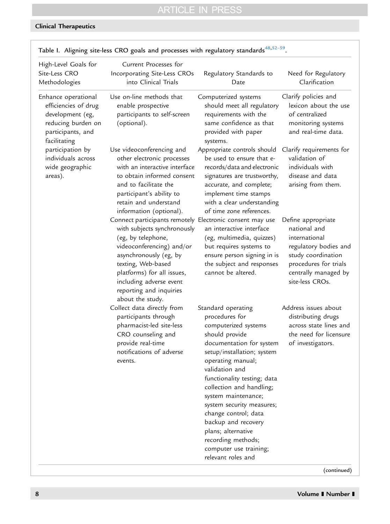## <span id="page-8-0"></span>Clinical Therapeutics

| High-Level Goals for<br>Site-Less CRO<br>Methodologies                                                                     | Current Processes for<br>Incorporating Site-Less CROs<br>into Clinical Trials                                                                                                                                                                                                                      | Regulatory Standards to<br>Date                                                                                                                                                                                                                                                                                                                                                                                                           | Need for Regulatory<br>Clarification<br>Clarify policies and<br>lexicon about the use<br>of centralized<br>monitoring systems<br>and real-time data.                   |  |
|----------------------------------------------------------------------------------------------------------------------------|----------------------------------------------------------------------------------------------------------------------------------------------------------------------------------------------------------------------------------------------------------------------------------------------------|-------------------------------------------------------------------------------------------------------------------------------------------------------------------------------------------------------------------------------------------------------------------------------------------------------------------------------------------------------------------------------------------------------------------------------------------|------------------------------------------------------------------------------------------------------------------------------------------------------------------------|--|
| Enhance operational<br>efficiencies of drug<br>development (eg,<br>reducing burden on<br>participants, and<br>facilitating | Use on-line methods that<br>enable prospective<br>participants to self-screen<br>(optional).                                                                                                                                                                                                       | Computerized systems<br>should meet all regulatory<br>requirements with the<br>same confidence as that<br>provided with paper<br>systems.                                                                                                                                                                                                                                                                                                 |                                                                                                                                                                        |  |
| participation by<br>individuals across<br>wide geographic<br>areas).                                                       | Use videoconferencing and<br>other electronic processes<br>with an interactive interface<br>to obtain informed consent<br>and to facilitate the<br>participant's ability to<br>retain and understand<br>information (optional).                                                                    | Appropriate controls should<br>be used to ensure that e-<br>records/data and electronic<br>signatures are trustworthy,<br>accurate, and complete;<br>implement time stamps<br>with a clear understanding<br>of time zone references.                                                                                                                                                                                                      | Clarify requirements for<br>validation of<br>individuals with<br>disease and data<br>arising from them.                                                                |  |
|                                                                                                                            | Connect participants remotely Electronic consent may use<br>with subjects synchronously<br>(eg, by telephone,<br>videoconferencing) and/or<br>asynchronously (eg, by<br>texting, Web-based<br>platforms) for all issues,<br>including adverse event<br>reporting and inquiries<br>about the study. | an interactive interface<br>(eg, multimedia, quizzes)<br>but requires systems to<br>ensure person signing in is<br>the subject and responses<br>cannot be altered.                                                                                                                                                                                                                                                                        | Define appropriate<br>national and<br>international<br>regulatory bodies and<br>study coordination<br>procedures for trials<br>centrally managed by<br>site-less CROs. |  |
|                                                                                                                            | Collect data directly from<br>participants through<br>pharmacist-led site-less<br>CRO counseling and<br>provide real-time<br>notifications of adverse<br>events.                                                                                                                                   | Standard operating<br>procedures for<br>computerized systems<br>should provide<br>documentation for system<br>setup/installation; system<br>operating manual;<br>validation and<br>functionality testing; data<br>collection and handling;<br>system maintenance;<br>system security measures;<br>change control; data<br>backup and recovery<br>plans; alternative<br>recording methods;<br>computer use training;<br>relevant roles and | Address issues about<br>distributing drugs<br>across state lines and<br>the need for licensure<br>of investigators.                                                    |  |

|  |  |  |  | Table I. Aligning site-less CRO goals and processes with regulatory standards <sup>48,52-59</sup> . |  |
|--|--|--|--|-----------------------------------------------------------------------------------------------------|--|
|  |  |  |  |                                                                                                     |  |

(continued)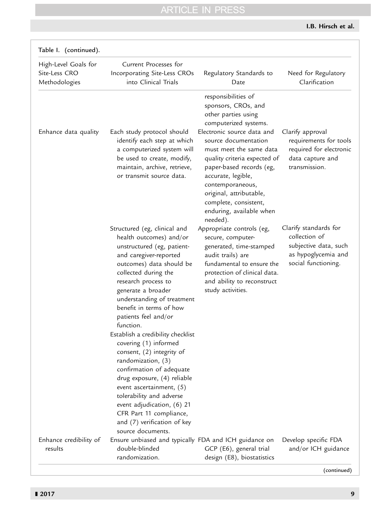| High-Level Goals for              | Current Processes for                                                                                                                                                                                                                                                                                                                                                                                                                                                                                                                                                                                                                                           |                                                                                                                                                                                                                                                                                                                                                                               |                                                                                                               |  |
|-----------------------------------|-----------------------------------------------------------------------------------------------------------------------------------------------------------------------------------------------------------------------------------------------------------------------------------------------------------------------------------------------------------------------------------------------------------------------------------------------------------------------------------------------------------------------------------------------------------------------------------------------------------------------------------------------------------------|-------------------------------------------------------------------------------------------------------------------------------------------------------------------------------------------------------------------------------------------------------------------------------------------------------------------------------------------------------------------------------|---------------------------------------------------------------------------------------------------------------|--|
| Site-Less CRO<br>Methodologies    | Incorporating Site-Less CROs<br>into Clinical Trials                                                                                                                                                                                                                                                                                                                                                                                                                                                                                                                                                                                                            | Regulatory Standards to<br>Date                                                                                                                                                                                                                                                                                                                                               | Need for Regulatory<br>Clarification                                                                          |  |
| Enhance data quality              | Each study protocol should<br>identify each step at which<br>a computerized system will<br>be used to create, modify,<br>maintain, archive, retrieve,<br>or transmit source data.                                                                                                                                                                                                                                                                                                                                                                                                                                                                               | responsibilities of<br>sponsors, CROs, and<br>other parties using<br>computerized systems.<br>Electronic source data and<br>source documentation<br>must meet the same data<br>quality criteria expected of<br>paper-based records (eg,<br>accurate, legible,<br>contemporaneous,<br>original, attributable,<br>complete, consistent,<br>enduring, available when<br>needed). | Clarify approval<br>requirements for tools<br>required for electronic<br>data capture and<br>transmission.    |  |
|                                   | Structured (eg, clinical and<br>health outcomes) and/or<br>unstructured (eg, patient-<br>and caregiver-reported<br>outcomes) data should be<br>collected during the<br>research process to<br>generate a broader<br>understanding of treatment<br>benefit in terms of how<br>patients feel and/or<br>function.<br>Establish a credibility checklist<br>covering (1) informed<br>consent, (2) integrity of<br>randomization, (3)<br>confirmation of adequate<br>drug exposure, (4) reliable<br>event ascertainment, (5)<br>tolerability and adverse<br>event adjudication, (6) 21<br>CFR Part 11 compliance,<br>and (7) verification of key<br>source documents. | Appropriate controls (eg,<br>secure, computer-<br>generated, time-stamped<br>audit trails) are<br>fundamental to ensure the<br>protection of clinical data.<br>and ability to reconstruct<br>study activities.                                                                                                                                                                | Clarify standards for<br>collection of<br>subjective data, such<br>as hypoglycemia and<br>social functioning. |  |
| Enhance credibility of<br>results | Ensure unbiased and typically FDA and ICH guidance on<br>double-blinded<br>randomization.                                                                                                                                                                                                                                                                                                                                                                                                                                                                                                                                                                       | GCP (E6), general trial<br>design (E8), biostatistics                                                                                                                                                                                                                                                                                                                         | Develop specific FDA<br>and/or ICH guidance                                                                   |  |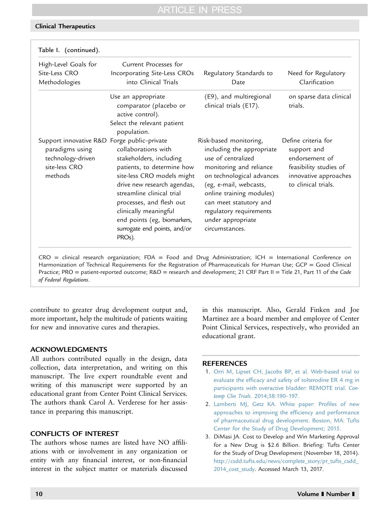### <span id="page-10-0"></span>Clinical Therapeutics

| High-Level Goals for                                                                                                                                                                                                                                                                                                                                                                                                    | Current Processes for                                |                                                                                                                                                                                                                                                                                     |                                                                                                                                |  |
|-------------------------------------------------------------------------------------------------------------------------------------------------------------------------------------------------------------------------------------------------------------------------------------------------------------------------------------------------------------------------------------------------------------------------|------------------------------------------------------|-------------------------------------------------------------------------------------------------------------------------------------------------------------------------------------------------------------------------------------------------------------------------------------|--------------------------------------------------------------------------------------------------------------------------------|--|
| Site-Less CRO<br>Methodologies                                                                                                                                                                                                                                                                                                                                                                                          | Incorporating Site-Less CROs<br>into Clinical Trials | Regulatory Standards to<br>Date                                                                                                                                                                                                                                                     | Need for Regulatory<br>Clarification                                                                                           |  |
| Use an appropriate<br>comparator (placebo or<br>active control).<br>Select the relevant patient<br>population.                                                                                                                                                                                                                                                                                                          |                                                      | (E9), and multiregional<br>clinical trials (E17).                                                                                                                                                                                                                                   | on sparse data clinical<br>trials.                                                                                             |  |
| Support innovative R&D Forge public-private<br>collaborations with<br>paradigms using<br>technology-driven<br>stakeholders, including<br>site-less CRO<br>patients, to determine how<br>site-less CRO models might<br>methods<br>drive new research agendas,<br>streamline clinical trial<br>processes, and flesh out<br>clinically meaningful<br>end points (eg, biomarkers,<br>surrogate end points, and/or<br>PROs). |                                                      | Risk-based monitoring,<br>including the appropriate<br>use of centralized<br>monitoring and reliance<br>on technological advances<br>(eg, e-mail, webcasts,<br>online training modules)<br>can meet statutory and<br>regulatory requirements<br>under appropriate<br>circumstances. | Define criteria for<br>support and<br>endorsement of<br>feasibility studies of<br>innovative approaches<br>to clinical trials. |  |

CRO = clinical research organization; FDA = Food and Drug Administration; ICH = International Conference on Harmonization of Technical Requirements for the Registration of Pharmaceuticals for Human Use; GCP = Good Clinical Practice; PRO = patient-reported outcome; R&D = research and development; 21 CRF Part II = Title 21, Part 11 of the Code of Federal Regulations.

contribute to greater drug development output and, more important, help the multitude of patients waiting for new and innovative cures and therapies.

### ACKNOWLEDGMENTS

All authors contributed equally in the design, data collection, data interpretation, and writing on this manuscript. The live expert roundtable event and writing of this manuscript were supported by an educational grant from Center Point Clinical Services. The authors thank Carol A. Verderese for her assistance in preparing this manuscript.

### CONFLICTS OF INTEREST

The authors whose names are listed have NO affiliations with or involvement in any organization or entity with any financial interest, or non-financial interest in the subject matter or materials discussed

in this manuscript. Also, Gerald Finken and Joe Martinez are a board member and employee of Center Point Clinical Services, respectively, who provided an educational grant.

### REFERENCES

- 1. [Orri M, Lipset CH, Jacobs BP, et al. Web-based trial to](http://refhub.elsevier.com/S0149-2918(17)30200-X/sbref1) evaluate the effi[cacy and safety of tolterodine ER 4 mg in](http://refhub.elsevier.com/S0149-2918(17)30200-X/sbref1) [participants with overactive bladder: REMOTE trial.](http://refhub.elsevier.com/S0149-2918(17)30200-X/sbref1) Con[temp Clin Trials](http://refhub.elsevier.com/S0149-2918(17)30200-X/sbref1). 2014;38:190–197.
- 2. [Lamberti MJ, Getz KA. White paper: Pro](http://refhub.elsevier.com/S0149-2918(17)30200-X/sbref2)files of new [approaches to improving the ef](http://refhub.elsevier.com/S0149-2918(17)30200-X/sbref2)ficiency and performance [of pharmaceutical drug development. Boston, MA: Tufts](http://refhub.elsevier.com/S0149-2918(17)30200-X/sbref2) [Center for the Study of Drug Development; 2015.](http://refhub.elsevier.com/S0149-2918(17)30200-X/sbref2)
- 3. DiMasi JA. Cost to Develop and Win Marketing Approval for a New Drug is \$2.6 Billion. Briefing: Tufts Center for the Study of Drug Development (November 18, 2014). [http://csdd.tufts.edu/news/complete\\_story/pr\\_tufts\\_csdd\\_](http://www.csdd.tufts.edu/news/complete_story/pr_tufts_csdd_2014_cost_study) [2014\\_cost\\_study](http://www.csdd.tufts.edu/news/complete_story/pr_tufts_csdd_2014_cost_study). Accessed March 13, 2017.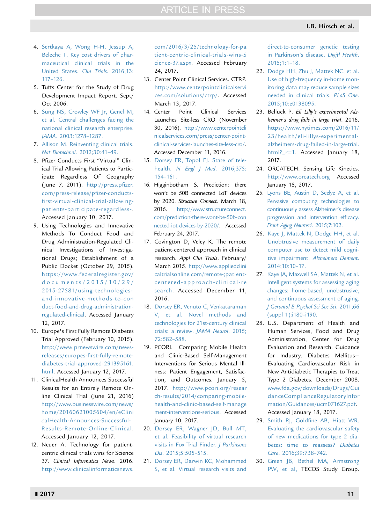- <span id="page-11-0"></span>4. [Sertkaya A, Wong H-H, Jessup A,](http://refhub.elsevier.com/S0149-2918(17)30200-X/sbref3) [Beleche T. Key cost drivers of phar](http://refhub.elsevier.com/S0149-2918(17)30200-X/sbref3)[maceutical clinical trials in the](http://refhub.elsevier.com/S0149-2918(17)30200-X/sbref3) [United States.](http://refhub.elsevier.com/S0149-2918(17)30200-X/sbref3) Clin Trials. 2016;13: 117–[126.](http://refhub.elsevier.com/S0149-2918(17)30200-X/sbref3)
- 5. Tufts Center for the Study of Drug Development Impact Report. Sept/ Oct 2006.
- 6. [Sung NS, Crowley WF Jr, Genel M,](http://refhub.elsevier.com/S0149-2918(17)30200-X/sbref4) [et al. Central challenges facing the](http://refhub.elsevier.com/S0149-2918(17)30200-X/sbref4) [national clinical research enterprise.](http://refhub.elsevier.com/S0149-2918(17)30200-X/sbref4) JAMA[. 2003:1278](http://refhub.elsevier.com/S0149-2918(17)30200-X/sbref4)–1287.
- 7. [Allison M. Reinventing clinical trials.](http://refhub.elsevier.com/S0149-2918(17)30200-X/sbref5) [Nat Biotechnol](http://refhub.elsevier.com/S0149-2918(17)30200-X/sbref5). 2012;30:41–49.
- 8. Pfizer Conducts First "Virtual" Clinical Trial Allowing Patients to Participate Regardless Of Geography (June 7, 2011). [http://press.p](http://www.press.pfizer.com/press-release/pfizer-conducts-first-virtual-clinical-trial-allowing-patients-participate-regardless-)fizer. [com/press-release/p](http://www.press.pfizer.com/press-release/pfizer-conducts-first-virtual-clinical-trial-allowing-patients-participate-regardless-)fizer-conductsfi[rst-virtual-clinical-trial-allowing](http://www.press.pfizer.com/press-release/pfizer-conducts-first-virtual-clinical-trial-allowing-patients-participate-regardless-)[patients-participate-regardless-](http://www.press.pfizer.com/press-release/pfizer-conducts-first-virtual-clinical-trial-allowing-patients-participate-regardless-). Accessed January 10, 2017.
- 9. Using Technologies and Innovative Methods To Conduct Food and Drug Administration-Regulated Clinical Investigations of Investigational Drugs; Establishment of a Public Docket (October 29, 2015). [https://www.federalregister.gov/](https://www.federalregister.gov/documents/2015/10/29/2015-27581/using-technologies-and-innovative-methods-to-conduct-food-and-drug-administration-regulated-clinical) [documents/2015/10/29/](https://www.federalregister.gov/documents/2015/10/29/2015-27581/using-technologies-and-innovative-methods-to-conduct-food-and-drug-administration-regulated-clinical) [2015-27581/using-technologies](https://www.federalregister.gov/documents/2015/10/29/2015-27581/using-technologies-and-innovative-methods-to-conduct-food-and-drug-administration-regulated-clinical)[and-innovative-methods-to-con](https://www.federalregister.gov/documents/2015/10/29/2015-27581/using-technologies-and-innovative-methods-to-conduct-food-and-drug-administration-regulated-clinical) [duct-food-and-drug-administration](https://www.federalregister.gov/documents/2015/10/29/2015-27581/using-technologies-and-innovative-methods-to-conduct-food-and-drug-administration-regulated-clinical)[regulated-clinical.](https://www.federalregister.gov/documents/2015/10/29/2015-27581/using-technologies-and-innovative-methods-to-conduct-food-and-drug-administration-regulated-clinical) Accessed January 12, 2017.
- 10. Europe's First Fully Remote Diabetes Trial Approved (February 10, 2015). [http://www.prnewswire.com/news](http://www.prnewswire.com/news-releases/europes-first-fully-remote-diabetes-trial-approved-291395161.html)[releases/europes-](http://www.prnewswire.com/news-releases/europes-first-fully-remote-diabetes-trial-approved-291395161.html)first-fully-remote[diabetes-trial-approved-291395161.](http://www.prnewswire.com/news-releases/europes-first-fully-remote-diabetes-trial-approved-291395161.html) [html.](http://www.prnewswire.com/news-releases/europes-first-fully-remote-diabetes-trial-approved-291395161.html) Accessed January 12, 2017.
- 11. ClinicalHealth Announces Successful Results for an Entirely Remote Online Clinical Trial (June 21, 2016) [http://www.businesswire.com/news/](http://www.businesswire.com/news/home/20160621005604/en/eClinicalHealth-Announces-Successful-Results-Remote-Online-Clinical) [home/20160621005604/en/eClini](http://www.businesswire.com/news/home/20160621005604/en/eClinicalHealth-Announces-Successful-Results-Remote-Online-Clinical) [calHealth-Announces-Successful-](http://www.businesswire.com/news/home/20160621005604/en/eClinicalHealth-Announces-Successful-Results-Remote-Online-Clinical)[Results-Remote-Online-Clinical](http://www.businesswire.com/news/home/20160621005604/en/eClinicalHealth-Announces-Successful-Results-Remote-Online-Clinical). Accessed January 12, 2017.
- 12. Neuer A. Technology for patientcentric clinical trials wins for Science 37. Clinical Informatics News. 2016. [http://www.clinicalinformaticsnews.](http://www.clinicalinformaticsnews.com/2016/3/25/technology-for-patient-centric-clinical-trials-wins-Science-37.aspx)

[com/2016/3/25/technology-for-pa](http://www.clinicalinformaticsnews.com/2016/3/25/technology-for-patient-centric-clinical-trials-wins-Science-37.aspx) [tient-centric-clinical-trials-wins-S](http://www.clinicalinformaticsnews.com/2016/3/25/technology-for-patient-centric-clinical-trials-wins-Science-37.aspx) [cience-37.aspx.](http://www.clinicalinformaticsnews.com/2016/3/25/technology-for-patient-centric-clinical-trials-wins-Science-37.aspx) Accessed February 24, 2017.

- 13. Center Point Clinical Services. CTRP. [http://www.centerpointclinicalservi](http://www.centerpointclinicalservices.com/solutions/ctrp/) [ces.com/solutions/ctrp/.](http://www.centerpointclinicalservices.com/solutions/ctrp/) Accessed March 13, 2017.
- 14. Center Point Clinical Services Launches Site-less CRO (November 30, 2016). [http://www.centerpointcli](http://www.centerpointclinicalservices.com/press/center-point-clinical-services-launches-site-less-cro/) [nicalservices.com/press/center-point](http://www.centerpointclinicalservices.com/press/center-point-clinical-services-launches-site-less-cro/)[clinical-services-launches-site-less-cro/.](http://www.centerpointclinicalservices.com/press/center-point-clinical-services-launches-site-less-cro/) Accessed December 11, 2016.
- 15. [Dorsey ER, Topol EJ. State of tele](http://refhub.elsevier.com/S0149-2918(17)30200-X/sbref7)health. *[N Engl J Med](http://refhub.elsevier.com/S0149-2918(17)30200-X/sbref7).* 2016;375: 154–[161.](http://refhub.elsevier.com/S0149-2918(17)30200-X/sbref7)
- 16. Higginbotham S. Prediction: there won't be 50B connected LoT devices by 2020. Structure Connect. March 18, 2016. [http://www.structureconnect.](http://www.structureconnect.com/prediction-there-wont-be-50b-connected-iot-devices-by-2020/) [com/prediction-there-wont-be-50b-con](http://www.structureconnect.com/prediction-there-wont-be-50b-connected-iot-devices-by-2020/) [nected-iot-devices-by-2020/.](http://www.structureconnect.com/prediction-there-wont-be-50b-connected-iot-devices-by-2020/) Accessed February 24, 2017.
- 17. Covington D, Veley K. The remote patient-centered approach in clinical research. Appl Clin Trials. February/ March 2015. [http://www.appliedclini](http://www.appliedclinicaltrialsonline.com/remote-patient-centered-approach-clinical-research) [caltrialsonline.com/remote-;patient](http://www.appliedclinicaltrialsonline.com/remote-patient-centered-approach-clinical-research)[centered-approach-clinical-re](http://www.appliedclinicaltrialsonline.com/remote-patient-centered-approach-clinical-research) [search.](http://www.appliedclinicaltrialsonline.com/remote-patient-centered-approach-clinical-research) Accessed December 11, 2016.
- 18. [Dorsey ER, Venuto C, Venkataraman](http://refhub.elsevier.com/S0149-2918(17)30200-X/sbref10) [V, et al. Novel methods and](http://refhub.elsevier.com/S0149-2918(17)30200-X/sbref10) [technologies for 21st-century clinical](http://refhub.elsevier.com/S0149-2918(17)30200-X/sbref10) [trials: a review.](http://refhub.elsevier.com/S0149-2918(17)30200-X/sbref10) JAMA Neurol. 2015; [72:582](http://refhub.elsevier.com/S0149-2918(17)30200-X/sbref10)–588.
- 19. PCORI. Comparing Mobile Health and Clinic-Based Self-Management Interventions for Serious Mental Illness: Patient Engagement, Satisfaction, and Outcomes. January 5, 2017. [http://www.pcori.org/resear](http://www.pcori.org/research-results/2014/comparing-mobile-health-and-clinic-based-self-management-interventions-serious) [ch-results/2014/comparing-mobile](http://www.pcori.org/research-results/2014/comparing-mobile-health-and-clinic-based-self-management-interventions-serious)[health-and-clinic-based-self-manage](http://www.pcori.org/research-results/2014/comparing-mobile-health-and-clinic-based-self-management-interventions-serious) [ment-interventions-serious](http://www.pcori.org/research-results/2014/comparing-mobile-health-and-clinic-based-self-management-interventions-serious). Accessed January 10, 2017.
- 20. [Dorsey ER, Wagner JD, Bull MT,](http://refhub.elsevier.com/S0149-2918(17)30200-X/sbref12) [et al. Feasibility of virtual research](http://refhub.elsevier.com/S0149-2918(17)30200-X/sbref12) [visits in Fox Trial Finder.](http://refhub.elsevier.com/S0149-2918(17)30200-X/sbref12) J Parkinsons Dis[. 2015;5:505](http://refhub.elsevier.com/S0149-2918(17)30200-X/sbref12)–515.
- 21. [Dorsey ER, Darwin KC, Mohammed](http://refhub.elsevier.com/S0149-2918(17)30200-X/sbref13) [S, et al. Virtual research visits and](http://refhub.elsevier.com/S0149-2918(17)30200-X/sbref13)

[direct-to-consumer genetic testing](http://refhub.elsevier.com/S0149-2918(17)30200-X/sbref13) [in Parkinson](http://refhub.elsevier.com/S0149-2918(17)30200-X/sbref13)'s disease. Digitl Health. [2015;1:1](http://refhub.elsevier.com/S0149-2918(17)30200-X/sbref13)–18.

- 22. [Dodge HH, Zhu J, Mattek NC, et al.](http://refhub.elsevier.com/S0149-2918(17)30200-X/sbref14) [Use of high-frequency in-home mon](http://refhub.elsevier.com/S0149-2918(17)30200-X/sbref14)[itoring data may reduce sample sizes](http://refhub.elsevier.com/S0149-2918(17)30200-X/sbref14) [needed in clinical trials.](http://refhub.elsevier.com/S0149-2918(17)30200-X/sbref14) PLoS One. [2015;10:e0138095.](http://refhub.elsevier.com/S0149-2918(17)30200-X/sbref14)
- 23. Belluck P. Eli Lilly's experimental Alzheimer's drug fails in large trial. 2016. [https://www.nytimes.com/2016/11/](https://www.nytimes.com/2016/11/23/health/eli-lillys-experimental-alzheimers-drug-failed-in-large-trial.html?_r=1) [23/health/eli-lillys-experimental](https://www.nytimes.com/2016/11/23/health/eli-lillys-experimental-alzheimers-drug-failed-in-large-trial.html?_r=1)[alzheimers-drug-failed-in-large-trial.](https://www.nytimes.com/2016/11/23/health/eli-lillys-experimental-alzheimers-drug-failed-in-large-trial.html?_r=1) [html?\\_r](https://www.nytimes.com/2016/11/23/health/eli-lillys-experimental-alzheimers-drug-failed-in-large-trial.html?_r=1)=1. Accessed January 18, 2017.
- 24. ORCATECH: Sensing Life Kinetics. <http://www.orcatech.org> Accessed January 18, 2017.
- 25. [Lyons BE, Austin D, Seelye A, et al.](http://refhub.elsevier.com/S0149-2918(17)30200-X/sbref16) [Pervasive computing technologies to](http://refhub.elsevier.com/S0149-2918(17)30200-X/sbref16) [continuously assess Alzheimer](http://refhub.elsevier.com/S0149-2918(17)30200-X/sbref16)'s disease [progression and intervention ef](http://refhub.elsevier.com/S0149-2918(17)30200-X/sbref16)ficacy. [Front Aging Neurosci](http://refhub.elsevier.com/S0149-2918(17)30200-X/sbref16). 2015;7:102.
- 26. [Kaye J, Mattek N, Dodge HH, et al.](http://refhub.elsevier.com/S0149-2918(17)30200-X/sbref17) [Unobtrusive measurement of daily](http://refhub.elsevier.com/S0149-2918(17)30200-X/sbref17) computer [use to detect mild cogni](http://refhub.elsevier.com/S0149-2918(17)30200-X/sbref17)tive impairment. [Alzheimers Dement](http://refhub.elsevier.com/S0149-2918(17)30200-X/sbref17). [2014;10:10](http://refhub.elsevier.com/S0149-2918(17)30200-X/sbref17)–17.
- 27. [Kaye JA, Maxwell SA, Mattek N, et al.](http://refhub.elsevier.com/S0149-2918(17)30200-X/sbref18) [Intelligent systems for assessing aging](http://refhub.elsevier.com/S0149-2918(17)30200-X/sbref18) [changes: home-based, unobstrusive,](http://refhub.elsevier.com/S0149-2918(17)30200-X/sbref18) [and continuous assessment of aging.](http://refhub.elsevier.com/S0149-2918(17)30200-X/sbref18) [J Gerontol B Psychol Sci Soc Sci](http://refhub.elsevier.com/S0149-2918(17)30200-X/sbref18). 2011;66 [\(suppl 1\):i180](http://refhub.elsevier.com/S0149-2918(17)30200-X/sbref18)–i190.
- 28. U.S. Department of Health and Human Services, Food and Drug Administration, Center for Drug Evaluation and Research. Guidance for Industry. Diabetes Mellitus— Evaluating Cardiovascular Risk in New Antidiabetic Therapies to Treat Type 2 Diabetes. December 2008. [www.fda.gov/downloads/Drugs/Gui](http://www.fda.gov/downloads/Drugs/GuidanceComplianceRegulatoryInformation/Guidances/ucm071627.pdf) [danceComplianceRegulatoryInfor](http://www.fda.gov/downloads/Drugs/GuidanceComplianceRegulatoryInformation/Guidances/ucm071627.pdf) [mation/Guidances/ucm071627.pdf.](http://www.fda.gov/downloads/Drugs/GuidanceComplianceRegulatoryInformation/Guidances/ucm071627.pdf) Accessed January 18, 2017.
- 29. Smith RJ, Goldfi[ne AB, Hiatt WR.](http://refhub.elsevier.com/S0149-2918(17)30200-X/sbref20) [Evaluating the cardiovascular safety](http://refhub.elsevier.com/S0149-2918(17)30200-X/sbref20) [of new medications for type 2 dia](http://refhub.elsevier.com/S0149-2918(17)30200-X/sbref20)[betes: time to reassess?](http://refhub.elsevier.com/S0149-2918(17)30200-X/sbref20) Diabetes Care[. 2016;39:738](http://refhub.elsevier.com/S0149-2918(17)30200-X/sbref20)–742.
- 30. [Green JB, Bethel MA, Armstrong](http://refhub.elsevier.com/S0149-2918(17)30200-X/sbref21) PW, et al, [TECOS Study Group.](http://refhub.elsevier.com/S0149-2918(17)30200-X/sbref21)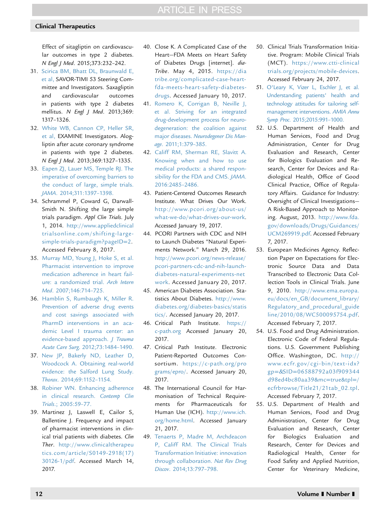#### <span id="page-12-0"></span>Clinical Therapeutics

[Effect of sitagliptin on cardiovascu](http://refhub.elsevier.com/S0149-2918(17)30200-X/sbref21)[lar outcomes in type 2 diabetes.](http://refhub.elsevier.com/S0149-2918(17)30200-X/sbref21) N Engl J Med[. 2015;373:232](http://refhub.elsevier.com/S0149-2918(17)30200-X/sbref21)–242.

- 31. [Scirica BM, Bhatt DL, Braunwald E,](http://refhub.elsevier.com/S0149-2918(17)30200-X/sbref22) et al, [SAVOR-TIMI 53 Steering Com](http://refhub.elsevier.com/S0149-2918(17)30200-X/sbref22)[mittee and Investigators. Saxagliptin](http://refhub.elsevier.com/S0149-2918(17)30200-X/sbref22) [and cardiovascular outcomes](http://refhub.elsevier.com/S0149-2918(17)30200-X/sbref22) [in patients with type 2 diabetes](http://refhub.elsevier.com/S0149-2918(17)30200-X/sbref22) mellitus. [N Engl J Med](http://refhub.elsevier.com/S0149-2918(17)30200-X/sbref22). 2013;369: 1317–[1326.](http://refhub.elsevier.com/S0149-2918(17)30200-X/sbref22)
- 32. [White WB, Cannon CP, Heller SR,](http://refhub.elsevier.com/S0149-2918(17)30200-X/sbref23) et al, [EXAMINE Investigators. Alog](http://refhub.elsevier.com/S0149-2918(17)30200-X/sbref23)[liptin after acute coronary syndrome](http://refhub.elsevier.com/S0149-2918(17)30200-X/sbref23) [in patients with type 2 diabetes.](http://refhub.elsevier.com/S0149-2918(17)30200-X/sbref23) N Engl J Med[. 2013;369:1327](http://refhub.elsevier.com/S0149-2918(17)30200-X/sbref23)–1335.
- 33. [Eapen ZJ, Lauer MS, Temple RJ. The](http://refhub.elsevier.com/S0149-2918(17)30200-X/sbref24) [imperative of overcoming barriers to](http://refhub.elsevier.com/S0149-2918(17)30200-X/sbref24) [the conduct of large, simple trials.](http://refhub.elsevier.com/S0149-2918(17)30200-X/sbref24) JAMA[. 2014;311:1397](http://refhub.elsevier.com/S0149-2918(17)30200-X/sbref24)–1398.
- 34. Schrammel P, Coward G, Darwall-Smith N. Shifting the large simple trials paradigm. Appl Clin Trials. July 1, 2014. [http://www.appliedclinical](http://www.appliedclinicaltrialsonline.com/shifting-large-simple-trials-paradigm?pageID=2) [trialsonline.com/shifting-large](http://www.appliedclinicaltrialsonline.com/shifting-large-simple-trials-paradigm?pageID=2)[simple-trials-paradigm?pageID](http://www.appliedclinicaltrialsonline.com/shifting-large-simple-trials-paradigm?pageID=2)=2. Accessed February 8, 2017.
- 35. [Murray MD, Young J, Hoke S, et al.](http://refhub.elsevier.com/S0149-2918(17)30200-X/sbref26) [Pharmacist intervention to improve](http://refhub.elsevier.com/S0149-2918(17)30200-X/sbref26) [medication adherence in heart fail](http://refhub.elsevier.com/S0149-2918(17)30200-X/sbref26)[ure: a randomized trial.](http://refhub.elsevier.com/S0149-2918(17)30200-X/sbref26) Arch Intern Med[. 2007;146:714](http://refhub.elsevier.com/S0149-2918(17)30200-X/sbref26)–725.
- 36. [Hamblin S, Rumbaugh K, Miller R.](http://refhub.elsevier.com/S0149-2918(17)30200-X/sbref27) [Prevention of adverse drug events](http://refhub.elsevier.com/S0149-2918(17)30200-X/sbref27) [and cost savings associated with](http://refhub.elsevier.com/S0149-2918(17)30200-X/sbref27) [PharmD interventions in an aca](http://refhub.elsevier.com/S0149-2918(17)30200-X/sbref27)[demic Level I trauma center: an](http://refhub.elsevier.com/S0149-2918(17)30200-X/sbref27) [evidence-based approach.](http://refhub.elsevier.com/S0149-2918(17)30200-X/sbref27) J Trauma Acute Care Surg[. 2012;73:1484](http://refhub.elsevier.com/S0149-2918(17)30200-X/sbref27)–1490.
- 37. [New JP, Bakerly ND, Leather D,](http://refhub.elsevier.com/S0149-2918(17)30200-X/sbref28) [Woodcock A. Obtaining real-world](http://refhub.elsevier.com/S0149-2918(17)30200-X/sbref28) [evidence: the Salford Lung Study.](http://refhub.elsevier.com/S0149-2918(17)30200-X/sbref28) Thorax[. 2014;69:1152](http://refhub.elsevier.com/S0149-2918(17)30200-X/sbref28)–1154.
- 38. [Robiner WN. Enhancing adherence](http://refhub.elsevier.com/S0149-2918(17)30200-X/sbref29) [in clinical research.](http://refhub.elsevier.com/S0149-2918(17)30200-X/sbref29) Contemp Clin Trials[.; 2005:59](http://refhub.elsevier.com/S0149-2918(17)30200-X/sbref29)–77.
- 39. Martinez J, Laswell E, Cailor S, Ballentine J. Frequency and impact of pharmacist interventions in clinical trial patients with diabetes. Clin Ther. [http://www.clinicaltherapeu](http://www.clinicaltherapeutics.com/article/S0149-2918(17)30126-1/pdf) [tics.com/ar ticle/S0149-2918\(17\)](http://www.clinicaltherapeutics.com/article/S0149-2918(17)30126-1/pdf) [30126-1/pdf](http://www.clinicaltherapeutics.com/article/S0149-2918(17)30126-1/pdf). Accessed March 14, 2017.
- 40. Close K. A Complicated Case of the Heart—FDA Meets on Heart Safety of Diabetes Drugs [internet]. dia-Tribe. May 4, 2015. [https://dia](https://diatribe.org/complicated-case-heart-fda-meets-heart-safety-diabetes-drugs) [tribe.org/complicated-case-heart](https://diatribe.org/complicated-case-heart-fda-meets-heart-safety-diabetes-drugs)[fda-meets-heart-safety-diabetes](https://diatribe.org/complicated-case-heart-fda-meets-heart-safety-diabetes-drugs)[drugs.](https://diatribe.org/complicated-case-heart-fda-meets-heart-safety-diabetes-drugs) Accessed January 10, 2017.
- 41. [Romero K, Corrigan B, Neville J,](http://refhub.elsevier.com/S0149-2918(17)30200-X/sbref31) [et al. Striving for an integrated](http://refhub.elsevier.com/S0149-2918(17)30200-X/sbref31) [drug-development process for neuro](http://refhub.elsevier.com/S0149-2918(17)30200-X/sbref31)[degeneration: the coalition against](http://refhub.elsevier.com/S0149-2918(17)30200-X/sbref31) major diseases. [Neurodegener Dis Man](http://refhub.elsevier.com/S0149-2918(17)30200-X/sbref31)age[. 2011;1:379](http://refhub.elsevier.com/S0149-2918(17)30200-X/sbref31)–385.
- 42. [Califf RM, Sherman RE, Slavitt A.](http://refhub.elsevier.com/S0149-2918(17)30200-X/sbref32) [Knowing when and how to use](http://refhub.elsevier.com/S0149-2918(17)30200-X/sbref32) [medical products: a shared respon](http://refhub.elsevier.com/S0149-2918(17)30200-X/sbref32)[sibility for the FDA and CMS.](http://refhub.elsevier.com/S0149-2918(17)30200-X/sbref32) JAMA. [2016:2485](http://refhub.elsevier.com/S0149-2918(17)30200-X/sbref32)–2486.
- 43. Patient-Centered Outcomes Research Institute. What Drives Our Work. [http://www.pcori.org/about-us/](http://www.pcori.org/about-us/what-we-do/what-drives-our-work) [what-we-do/what-drives-our-work.](http://www.pcori.org/about-us/what-we-do/what-drives-our-work) Accessed January 19, 2017.
- 44. PCORI Partners with CDC and NIH to Launch Diabetes "Natural Experiments Network." March 29, 2016. [http://www.pcori.org/news-release/](http://www.pcori.org/news-release/pcori-partners-cdc-and-nih-launch-diabetes-natural-experiments-network) [pcori-partners-cdc-and-nih-launch](http://www.pcori.org/news-release/pcori-partners-cdc-and-nih-launch-diabetes-natural-experiments-network)[diabetes-natural-experiments-net](http://www.pcori.org/news-release/pcori-partners-cdc-and-nih-launch-diabetes-natural-experiments-network) [work.](http://www.pcori.org/news-release/pcori-partners-cdc-and-nih-launch-diabetes-natural-experiments-network) Accessed January 20, 2017.
- 45. American Diabetes Association. Statistics About Diabetes. [http://www.](http://www.diabetes.org/diabetes-basics/statistics/) [diabetes.org/diabetes-basics/statis](http://www.diabetes.org/diabetes-basics/statistics/) [tics/.](http://www.diabetes.org/diabetes-basics/statistics/) Accessed January 20, 2017.
- 46. Critical Path Institute. [https://](https://c-path.org) [c-path.org](https://c-path.org) Accessed January 20, 2017.
- 47. Critical Path Institute. Electronic Patient-Reported Outcomes Consortium. [https://c-path.org/pro](https://c-path.org/programs/epro/) [grams/epro/](https://c-path.org/programs/epro/). Accessed January 20, 2017.
- 48. The International Council for Harmonisation of Technical Requirements for Pharmaceuticals for Human Use (ICH). [http://www.ich.](http://www.ich.org/home.html) [org/home.html](http://www.ich.org/home.html). Accessed January 21, 2017.
- 49. [Tenaerts P, Madre M, Archdeacon](http://refhub.elsevier.com/S0149-2918(17)30200-X/sbref33) [P, Califf RM. The Clinical Trials](http://refhub.elsevier.com/S0149-2918(17)30200-X/sbref33) [Transformation Initiative: innovation](http://refhub.elsevier.com/S0149-2918(17)30200-X/sbref33) [through collaboration.](http://refhub.elsevier.com/S0149-2918(17)30200-X/sbref33) Nat Rev Drug Discov[. 2014;13:797](http://refhub.elsevier.com/S0149-2918(17)30200-X/sbref33)–798.
- 50. Clinical Trials Transformation Initiative. Program: Mobile Clinical Trials (MCT). [https://www.ctti-clinical](https://www.ctti-clinicaltrials.org/projects/mobile-devices) [trials.org/projects/mobile-devices.](https://www.ctti-clinicaltrials.org/projects/mobile-devices) Accessed February 24, 2017.
- 51. [O'Leary K, Vizer L, Eschler J, et al.](http://refhub.elsevier.com/S0149-2918(17)30200-X/sbref34) [Understanding patients' health and](http://refhub.elsevier.com/S0149-2918(17)30200-X/sbref34) [technology attitudes for tailoring self](http://refhub.elsevier.com/S0149-2918(17)30200-X/sbref34)[management interventions.](http://refhub.elsevier.com/S0149-2918(17)30200-X/sbref34) AMIA Annu Symp Proc[. 2015;2015:991](http://refhub.elsevier.com/S0149-2918(17)30200-X/sbref34)–1000.
- 52. U.S. Department of Health and Human Services, Food and Drug Administration, Center for Drug Evaluation and Research, Center for Biologics Evaluation and Research, Center for Devices and Radiological Health, Office of Good Clinical Practice, Office of Regulatory Affairs. Guidance for Industry: Oversight of Clinical Investigations— A Risk-Based Approach to Monitoring. August, 2013. [http://www.fda.](http://www.fda.gov/downloads/Drugs/Guidances/UCM269919.pdf) [gov/downloads/Drugs/Guidances/](http://www.fda.gov/downloads/Drugs/Guidances/UCM269919.pdf) [UCM269919.pdf](http://www.fda.gov/downloads/Drugs/Guidances/UCM269919.pdf). Accessed February 7, 2017.
- 53. European Medicines Agency. Reflection Paper on Expectations for Electronic Source Data and Data Transcribed to Electronic Data Collection Tools in Clinical Trials. June 9, 2010. [http://www.ema.europa.](http://www.ema.europa.eu/docs/en_GB/document_library/Regulatory_and_procedural_guideline/2010/08/WC500095754.pdf) [eu/docs/en\\_GB/document\\_library/](http://www.ema.europa.eu/docs/en_GB/document_library/Regulatory_and_procedural_guideline/2010/08/WC500095754.pdf) [Regulatory\\_and\\_procedural\\_guide](http://www.ema.europa.eu/docs/en_GB/document_library/Regulatory_and_procedural_guideline/2010/08/WC500095754.pdf) [line/2010/08/WC500095754.pdf.](http://www.ema.europa.eu/docs/en_GB/document_library/Regulatory_and_procedural_guideline/2010/08/WC500095754.pdf) Accessed February 7, 2017.
- 54. U.S. Food and Drug Administration. Electronic Code of Federal Regulations. U.S. Government Publishing Office. Washington, DC. [http://](http://www.ecfr.gov/cgi-bin/text-idx?gp=&SID=06588792a03f909344d98ed4bc80aa39&mc=true&tpl=/ecfrbrowse/Title21/21tab_02.tpl) [www.ecfr.gov/cgi-bin/text-idx?](http://www.ecfr.gov/cgi-bin/text-idx?gp=&SID=06588792a03f909344d98ed4bc80aa39&mc=true&tpl=/ecfrbrowse/Title21/21tab_02.tpl) [gp](http://www.ecfr.gov/cgi-bin/text-idx?gp=&SID=06588792a03f909344d98ed4bc80aa39&mc=true&tpl=/ecfrbrowse/Title21/21tab_02.tpl)=&SID=[06588792a03f909344](http://www.ecfr.gov/cgi-bin/text-idx?gp=&SID=06588792a03f909344d98ed4bc80aa39&mc=true&tpl=/ecfrbrowse/Title21/21tab_02.tpl) [d98ed4bc80aa39&](http://www.ecfr.gov/cgi-bin/text-idx?gp=&SID=06588792a03f909344d98ed4bc80aa39&mc=true&tpl=/ecfrbrowse/Title21/21tab_02.tpl)mc=[true](http://www.ecfr.gov/cgi-bin/text-idx?gp=&SID=06588792a03f909344d98ed4bc80aa39&mc=true&tpl=/ecfrbrowse/Title21/21tab_02.tpl)&[tpl](http://www.ecfr.gov/cgi-bin/text-idx?gp=&SID=06588792a03f909344d98ed4bc80aa39&mc=true&tpl=/ecfrbrowse/Title21/21tab_02.tpl)=/ [ecfrbrowse/Title21/21tab\\_02.tpl.](http://www.ecfr.gov/cgi-bin/text-idx?gp=&SID=06588792a03f909344d98ed4bc80aa39&mc=true&tpl=/ecfrbrowse/Title21/21tab_02.tpl) Accessed February 7, 2017.
- 55. U.S. Department of Health and Human Services, Food and Drug Administration, Center for Drug Evaluation and Research, Center for Biologics Evaluation and Research, Center for Devices and Radiological Health, Center for Food Safety and Applied Nutrition, Center for Veterinary Medicine,